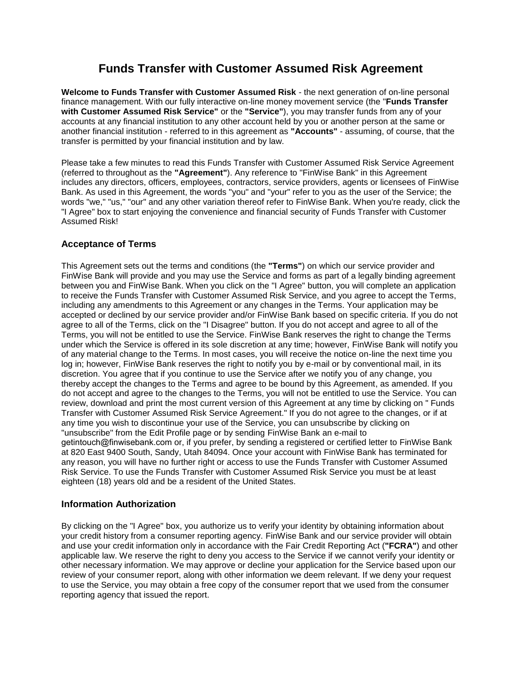# **Funds Transfer with Customer Assumed Risk Agreement**

**Welcome to Funds Transfer with Customer Assumed Risk** - the next generation of on-line personal finance management. With our fully interactive on-line money movement service (the "**Funds Transfer with Customer Assumed Risk Service"** or the **"Service"**), you may transfer funds from any of your accounts at any financial institution to any other account held by you or another person at the same or another financial institution - referred to in this agreement as **"Accounts"** - assuming, of course, that the transfer is permitted by your financial institution and by law.

Please take a few minutes to read this Funds Transfer with Customer Assumed Risk Service Agreement (referred to throughout as the **"Agreement"**). Any reference to "FinWise Bank" in this Agreement includes any directors, officers, employees, contractors, service providers, agents or licensees of FinWise Bank. As used in this Agreement, the words "you" and "your" refer to you as the user of the Service; the words "we," "us," "our" and any other variation thereof refer to FinWise Bank. When you're ready, click the "I Agree" box to start enjoying the convenience and financial security of Funds Transfer with Customer Assumed Risk!

# **Acceptance of Terms**

This Agreement sets out the terms and conditions (the **"Terms"**) on which our service provider and FinWise Bank will provide and you may use the Service and forms as part of a legally binding agreement between you and FinWise Bank. When you click on the "I Agree" button, you will complete an application to receive the Funds Transfer with Customer Assumed Risk Service, and you agree to accept the Terms, including any amendments to this Agreement or any changes in the Terms. Your application may be accepted or declined by our service provider and/or FinWise Bank based on specific criteria. If you do not agree to all of the Terms, click on the "I Disagree" button. If you do not accept and agree to all of the Terms, you will not be entitled to use the Service. FinWise Bank reserves the right to change the Terms under which the Service is offered in its sole discretion at any time; however, FinWise Bank will notify you of any material change to the Terms. In most cases, you will receive the notice on-line the next time you log in; however, FinWise Bank reserves the right to notify you by e-mail or by conventional mail, in its discretion. You agree that if you continue to use the Service after we notify you of any change, you thereby accept the changes to the Terms and agree to be bound by this Agreement, as amended. If you do not accept and agree to the changes to the Terms, you will not be entitled to use the Service. You can review, download and print the most current version of this Agreement at any time by clicking on " Funds Transfer with Customer Assumed Risk Service Agreement." If you do not agree to the changes, or if at any time you wish to discontinue your use of the Service, you can unsubscribe by clicking on "unsubscribe" from the Edit Profile page or by sending FinWise Bank an e-mail to getintouch@finwisebank.com or, if you prefer, by sending a registered or certified letter to FinWise Bank at 820 East 9400 South, Sandy, Utah 84094. Once your account with FinWise Bank has terminated for any reason, you will have no further right or access to use the Funds Transfer with Customer Assumed Risk Service. To use the Funds Transfer with Customer Assumed Risk Service you must be at least eighteen (18) years old and be a resident of the United States.

# **Information Authorization**

By clicking on the "I Agree" box, you authorize us to verify your identity by obtaining information about your credit history from a consumer reporting agency. FinWise Bank and our service provider will obtain and use your credit information only in accordance with the Fair Credit Reporting Act (**"FCRA"**) and other applicable law. We reserve the right to deny you access to the Service if we cannot verify your identity or other necessary information. We may approve or decline your application for the Service based upon our review of your consumer report, along with other information we deem relevant. If we deny your request to use the Service, you may obtain a free copy of the consumer report that we used from the consumer reporting agency that issued the report.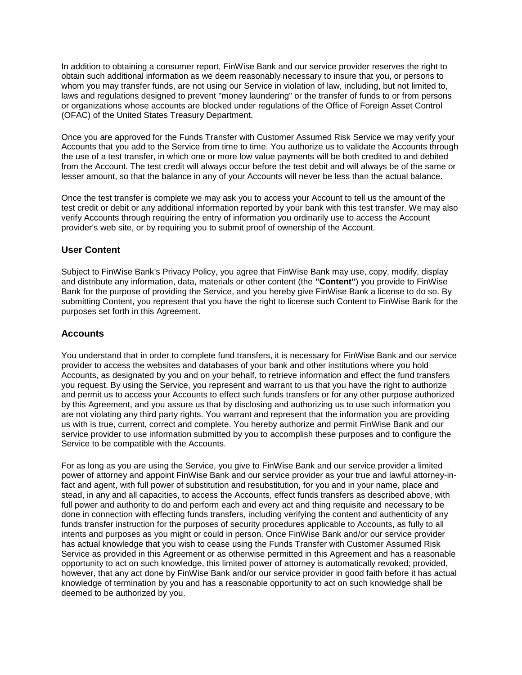In addition to obtaining a consumer report, FinWise Bank and our service provider reserves the right to obtain such additional information as we deem reasonably necessary to insure that you, or persons to whom you may transfer funds, are not using our Service in violation of law, including, but not limited to, laws and regulations designed to prevent "money laundering" or the transfer of funds to or from persons or organizations whose accounts are blocked under regulations of the Office of Foreign Asset Control (OFAC) of the United States Treasury Department.

Once you are approved for the Funds Transfer with Customer Assumed Risk Service we may verify your Accounts that you add to the Service from time to time. You authorize us to validate the Accounts through the use of a test transfer, in which one or more low value payments will be both credited to and debited from the Account. The test credit will always occur before the test debit and will always be of the same or lesser amount, so that the balance in any of your Accounts will never be less than the actual balance.

Once the test transfer is complete we may ask you to access your Account to tell us the amount of the test credit or debit or any additional information reported by your bank with this test transfer. We may also verify Accounts through requiring the entry of information you ordinarily use to access the Account provider's web site, or by requiring you to submit proof of ownership of the Account.

#### **User Content**

Subject to FinWise Bank's Privacy Policy, you agree that FinWise Bank may use, copy, modify, display and distribute any information, data, materials or other content (the **"Content"**) you provide to FinWise Bank for the purpose of providing the Service, and you hereby give FinWise Bank a license to do so. By submitting Content, you represent that you have the right to license such Content to FinWise Bank for the purposes set forth in this Agreement.

#### **Accounts**

You understand that in order to complete fund transfers, it is necessary for FinWise Bank and our service provider to access the websites and databases of your bank and other institutions where you hold Accounts, as designated by you and on your behalf, to retrieve information and effect the fund transfers you request. By using the Service, you represent and warrant to us that you have the right to authorize and permit us to access your Accounts to effect such funds transfers or for any other purpose authorized by this Agreement, and you assure us that by disclosing and authorizing us to use such information you are not violating any third party rights. You warrant and represent that the information you are providing us with is true, current, correct and complete. You hereby authorize and permit FinWise Bank and our service provider to use information submitted by you to accomplish these purposes and to configure the Service to be compatible with the Accounts.

For as long as you are using the Service, you give to FinWise Bank and our service provider a limited power of attorney and appoint FinWise Bank and our service provider as your true and lawful attorney-infact and agent, with full power of substitution and resubstitution, for you and in your name, place and stead, in any and all capacities, to access the Accounts, effect funds transfers as described above, with full power and authority to do and perform each and every act and thing requisite and necessary to be done in connection with effecting funds transfers, including verifying the content and authenticity of any funds transfer instruction for the purposes of security procedures applicable to Accounts, as fully to all intents and purposes as you might or could in person. Once FinWise Bank and/or our service provider has actual knowledge that you wish to cease using the Funds Transfer with Customer Assumed Risk Service as provided in this Agreement or as otherwise permitted in this Agreement and has a reasonable opportunity to act on such knowledge, this limited power of attorney is automatically revoked; provided, however, that any act done by FinWise Bank and/or our service provider in good faith before it has actual knowledge of termination by you and has a reasonable opportunity to act on such knowledge shall be deemed to be authorized by you.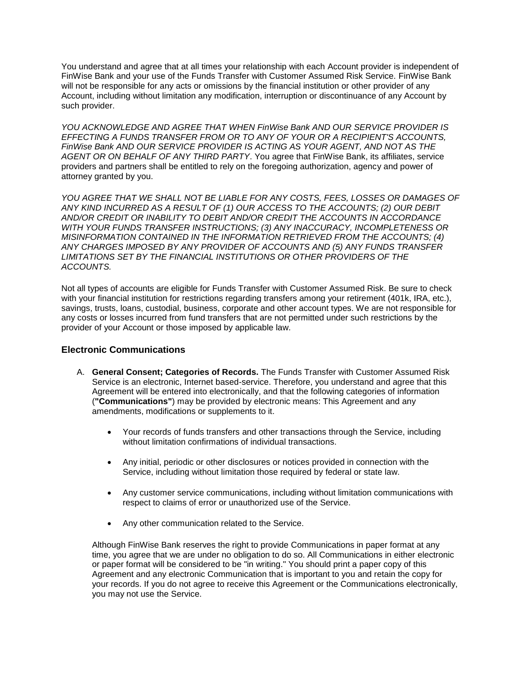You understand and agree that at all times your relationship with each Account provider is independent of FinWise Bank and your use of the Funds Transfer with Customer Assumed Risk Service. FinWise Bank will not be responsible for any acts or omissions by the financial institution or other provider of any Account, including without limitation any modification, interruption or discontinuance of any Account by such provider.

*YOU ACKNOWLEDGE AND AGREE THAT WHEN FinWise Bank AND OUR SERVICE PROVIDER IS EFFECTING A FUNDS TRANSFER FROM OR TO ANY OF YOUR OR A RECIPIENT'S ACCOUNTS, FinWise Bank AND OUR SERVICE PROVIDER IS ACTING AS YOUR AGENT, AND NOT AS THE AGENT OR ON BEHALF OF ANY THIRD PARTY*. You agree that FinWise Bank, its affiliates, service providers and partners shall be entitled to rely on the foregoing authorization, agency and power of attorney granted by you.

*YOU AGREE THAT WE SHALL NOT BE LIABLE FOR ANY COSTS, FEES, LOSSES OR DAMAGES OF ANY KIND INCURRED AS A RESULT OF (1) OUR ACCESS TO THE ACCOUNTS; (2) OUR DEBIT AND/OR CREDIT OR INABILITY TO DEBIT AND/OR CREDIT THE ACCOUNTS IN ACCORDANCE WITH YOUR FUNDS TRANSFER INSTRUCTIONS; (3) ANY INACCURACY, INCOMPLETENESS OR MISINFORMATION CONTAINED IN THE INFORMATION RETRIEVED FROM THE ACCOUNTS; (4) ANY CHARGES IMPOSED BY ANY PROVIDER OF ACCOUNTS AND (5) ANY FUNDS TRANSFER LIMITATIONS SET BY THE FINANCIAL INSTITUTIONS OR OTHER PROVIDERS OF THE ACCOUNTS.*

Not all types of accounts are eligible for Funds Transfer with Customer Assumed Risk. Be sure to check with your financial institution for restrictions regarding transfers among your retirement (401k, IRA, etc.), savings, trusts, loans, custodial, business, corporate and other account types. We are not responsible for any costs or losses incurred from fund transfers that are not permitted under such restrictions by the provider of your Account or those imposed by applicable law.

# **Electronic Communications**

- A. **General Consent; Categories of Records.** The Funds Transfer with Customer Assumed Risk Service is an electronic, Internet based-service. Therefore, you understand and agree that this Agreement will be entered into electronically, and that the following categories of information (**"Communications"**) may be provided by electronic means: This Agreement and any amendments, modifications or supplements to it.
	- Your records of funds transfers and other transactions through the Service, including without limitation confirmations of individual transactions.
	- Any initial, periodic or other disclosures or notices provided in connection with the Service, including without limitation those required by federal or state law.
	- Any customer service communications, including without limitation communications with respect to claims of error or unauthorized use of the Service.
	- Any other communication related to the Service.

Although FinWise Bank reserves the right to provide Communications in paper format at any time, you agree that we are under no obligation to do so. All Communications in either electronic or paper format will be considered to be "in writing." You should print a paper copy of this Agreement and any electronic Communication that is important to you and retain the copy for your records. If you do not agree to receive this Agreement or the Communications electronically, you may not use the Service.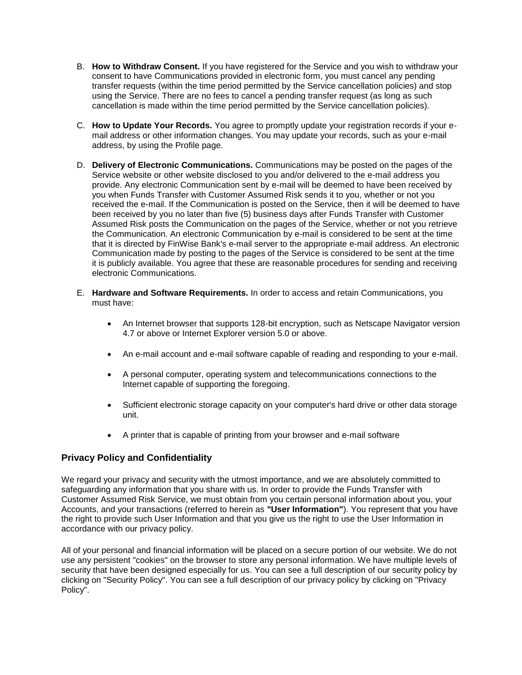- B. **How to Withdraw Consent.** If you have registered for the Service and you wish to withdraw your consent to have Communications provided in electronic form, you must cancel any pending transfer requests (within the time period permitted by the Service cancellation policies) and stop using the Service. There are no fees to cancel a pending transfer request (as long as such cancellation is made within the time period permitted by the Service cancellation policies).
- C. **How to Update Your Records.** You agree to promptly update your registration records if your email address or other information changes. You may update your records, such as your e-mail address, by using the Profile page.
- D. **Delivery of Electronic Communications.** Communications may be posted on the pages of the Service website or other website disclosed to you and/or delivered to the e-mail address you provide. Any electronic Communication sent by e-mail will be deemed to have been received by you when Funds Transfer with Customer Assumed Risk sends it to you, whether or not you received the e-mail. If the Communication is posted on the Service, then it will be deemed to have been received by you no later than five (5) business days after Funds Transfer with Customer Assumed Risk posts the Communication on the pages of the Service, whether or not you retrieve the Communication. An electronic Communication by e-mail is considered to be sent at the time that it is directed by FinWise Bank's e-mail server to the appropriate e-mail address. An electronic Communication made by posting to the pages of the Service is considered to be sent at the time it is publicly available. You agree that these are reasonable procedures for sending and receiving electronic Communications.
- E. **Hardware and Software Requirements.** In order to access and retain Communications, you must have:
	- An Internet browser that supports 128-bit encryption, such as Netscape Navigator version 4.7 or above or Internet Explorer version 5.0 or above.
	- An e-mail account and e-mail software capable of reading and responding to your e-mail.
	- A personal computer, operating system and telecommunications connections to the Internet capable of supporting the foregoing.
	- Sufficient electronic storage capacity on your computer's hard drive or other data storage unit.
	- A printer that is capable of printing from your browser and e-mail software

# **Privacy Policy and Confidentiality**

We regard your privacy and security with the utmost importance, and we are absolutely committed to safeguarding any information that you share with us. In order to provide the Funds Transfer with Customer Assumed Risk Service, we must obtain from you certain personal information about you, your Accounts, and your transactions (referred to herein as **"User Information"**). You represent that you have the right to provide such User Information and that you give us the right to use the User Information in accordance with our privacy policy.

All of your personal and financial information will be placed on a secure portion of our website. We do not use any persistent "cookies" on the browser to store any personal information. We have multiple levels of security that have been designed especially for us. You can see a full description of our security policy by clicking on "Security Policy". You can see a full description of our privacy policy by clicking on "Privacy Policy".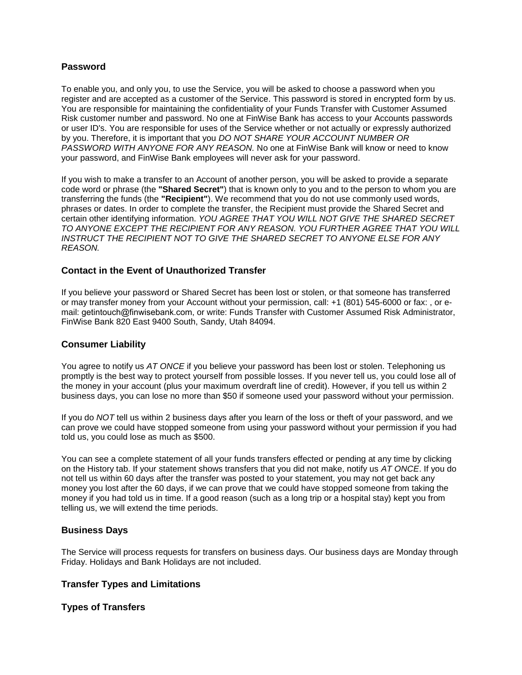#### **Password**

To enable you, and only you, to use the Service, you will be asked to choose a password when you register and are accepted as a customer of the Service. This password is stored in encrypted form by us. You are responsible for maintaining the confidentiality of your Funds Transfer with Customer Assumed Risk customer number and password. No one at FinWise Bank has access to your Accounts passwords or user ID's. You are responsible for uses of the Service whether or not actually or expressly authorized by you. Therefore, it is important that you *DO NOT SHARE YOUR ACCOUNT NUMBER OR PASSWORD WITH ANYONE FOR ANY REASON.* No one at FinWise Bank will know or need to know your password, and FinWise Bank employees will never ask for your password.

If you wish to make a transfer to an Account of another person, you will be asked to provide a separate code word or phrase (the **"Shared Secret"**) that is known only to you and to the person to whom you are transferring the funds (the **"Recipient"**). We recommend that you do not use commonly used words, phrases or dates. In order to complete the transfer, the Recipient must provide the Shared Secret and certain other identifying information. *YOU AGREE THAT YOU WILL NOT GIVE THE SHARED SECRET TO ANYONE EXCEPT THE RECIPIENT FOR ANY REASON. YOU FURTHER AGREE THAT YOU WILL INSTRUCT THE RECIPIENT NOT TO GIVE THE SHARED SECRET TO ANYONE ELSE FOR ANY REASON.*

## **Contact in the Event of Unauthorized Transfer**

If you believe your password or Shared Secret has been lost or stolen, or that someone has transferred or may transfer money from your Account without your permission, call: +1 (801) 545-6000 or fax: , or email: getintouch@finwisebank.com, or write: Funds Transfer with Customer Assumed Risk Administrator, FinWise Bank 820 East 9400 South, Sandy, Utah 84094.

#### **Consumer Liability**

You agree to notify us *AT ONCE* if you believe your password has been lost or stolen. Telephoning us promptly is the best way to protect yourself from possible losses. If you never tell us, you could lose all of the money in your account (plus your maximum overdraft line of credit). However, if you tell us within 2 business days, you can lose no more than \$50 if someone used your password without your permission.

If you do *NOT* tell us within 2 business days after you learn of the loss or theft of your password, and we can prove we could have stopped someone from using your password without your permission if you had told us, you could lose as much as \$500.

You can see a complete statement of all your funds transfers effected or pending at any time by clicking on the History tab. If your statement shows transfers that you did not make, notify us *AT ONCE*. If you do not tell us within 60 days after the transfer was posted to your statement, you may not get back any money you lost after the 60 days, if we can prove that we could have stopped someone from taking the money if you had told us in time. If a good reason (such as a long trip or a hospital stay) kept you from telling us, we will extend the time periods.

#### **Business Days**

The Service will process requests for transfers on business days. Our business days are Monday through Friday. Holidays and Bank Holidays are not included.

# **Transfer Types and Limitations**

#### **Types of Transfers**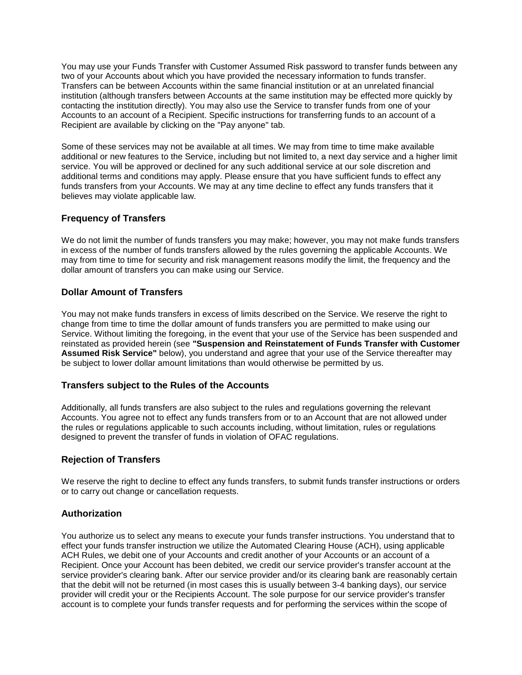You may use your Funds Transfer with Customer Assumed Risk password to transfer funds between any two of your Accounts about which you have provided the necessary information to funds transfer. Transfers can be between Accounts within the same financial institution or at an unrelated financial institution (although transfers between Accounts at the same institution may be effected more quickly by contacting the institution directly). You may also use the Service to transfer funds from one of your Accounts to an account of a Recipient. Specific instructions for transferring funds to an account of a Recipient are available by clicking on the "Pay anyone" tab.

Some of these services may not be available at all times. We may from time to time make available additional or new features to the Service, including but not limited to, a next day service and a higher limit service. You will be approved or declined for any such additional service at our sole discretion and additional terms and conditions may apply. Please ensure that you have sufficient funds to effect any funds transfers from your Accounts. We may at any time decline to effect any funds transfers that it believes may violate applicable law.

# **Frequency of Transfers**

We do not limit the number of funds transfers you may make; however, you may not make funds transfers in excess of the number of funds transfers allowed by the rules governing the applicable Accounts. We may from time to time for security and risk management reasons modify the limit, the frequency and the dollar amount of transfers you can make using our Service.

## **Dollar Amount of Transfers**

You may not make funds transfers in excess of limits described on the Service. We reserve the right to change from time to time the dollar amount of funds transfers you are permitted to make using our Service. Without limiting the foregoing, in the event that your use of the Service has been suspended and reinstated as provided herein (see **"Suspension and Reinstatement of Funds Transfer with Customer Assumed Risk Service"** below), you understand and agree that your use of the Service thereafter may be subject to lower dollar amount limitations than would otherwise be permitted by us.

#### **Transfers subject to the Rules of the Accounts**

Additionally, all funds transfers are also subject to the rules and regulations governing the relevant Accounts. You agree not to effect any funds transfers from or to an Account that are not allowed under the rules or regulations applicable to such accounts including, without limitation, rules or regulations designed to prevent the transfer of funds in violation of OFAC regulations.

# **Rejection of Transfers**

We reserve the right to decline to effect any funds transfers, to submit funds transfer instructions or orders or to carry out change or cancellation requests.

#### **Authorization**

You authorize us to select any means to execute your funds transfer instructions. You understand that to effect your funds transfer instruction we utilize the Automated Clearing House (ACH), using applicable ACH Rules, we debit one of your Accounts and credit another of your Accounts or an account of a Recipient. Once your Account has been debited, we credit our service provider's transfer account at the service provider's clearing bank. After our service provider and/or its clearing bank are reasonably certain that the debit will not be returned (in most cases this is usually between 3-4 banking days), our service provider will credit your or the Recipients Account. The sole purpose for our service provider's transfer account is to complete your funds transfer requests and for performing the services within the scope of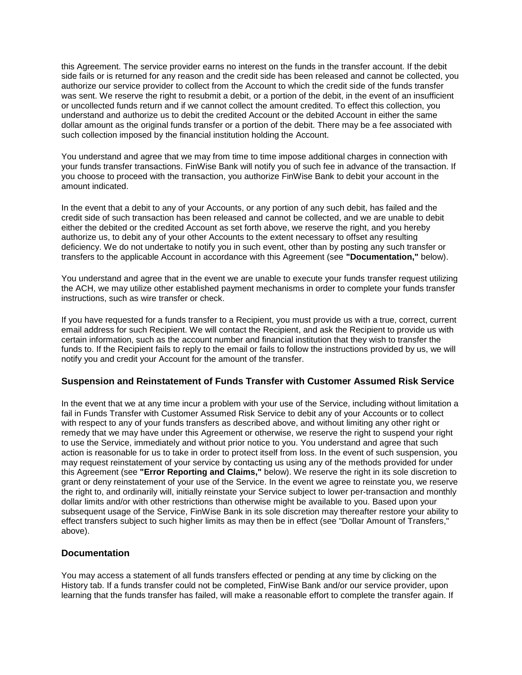this Agreement. The service provider earns no interest on the funds in the transfer account. If the debit side fails or is returned for any reason and the credit side has been released and cannot be collected, you authorize our service provider to collect from the Account to which the credit side of the funds transfer was sent. We reserve the right to resubmit a debit, or a portion of the debit, in the event of an insufficient or uncollected funds return and if we cannot collect the amount credited. To effect this collection, you understand and authorize us to debit the credited Account or the debited Account in either the same dollar amount as the original funds transfer or a portion of the debit. There may be a fee associated with such collection imposed by the financial institution holding the Account.

You understand and agree that we may from time to time impose additional charges in connection with your funds transfer transactions. FinWise Bank will notify you of such fee in advance of the transaction. If you choose to proceed with the transaction, you authorize FinWise Bank to debit your account in the amount indicated.

In the event that a debit to any of your Accounts, or any portion of any such debit, has failed and the credit side of such transaction has been released and cannot be collected, and we are unable to debit either the debited or the credited Account as set forth above, we reserve the right, and you hereby authorize us, to debit any of your other Accounts to the extent necessary to offset any resulting deficiency. We do not undertake to notify you in such event, other than by posting any such transfer or transfers to the applicable Account in accordance with this Agreement (see **"Documentation,"** below).

You understand and agree that in the event we are unable to execute your funds transfer request utilizing the ACH, we may utilize other established payment mechanisms in order to complete your funds transfer instructions, such as wire transfer or check.

If you have requested for a funds transfer to a Recipient, you must provide us with a true, correct, current email address for such Recipient. We will contact the Recipient, and ask the Recipient to provide us with certain information, such as the account number and financial institution that they wish to transfer the funds to. If the Recipient fails to reply to the email or fails to follow the instructions provided by us, we will notify you and credit your Account for the amount of the transfer.

#### **Suspension and Reinstatement of Funds Transfer with Customer Assumed Risk Service**

In the event that we at any time incur a problem with your use of the Service, including without limitation a fail in Funds Transfer with Customer Assumed Risk Service to debit any of your Accounts or to collect with respect to any of your funds transfers as described above, and without limiting any other right or remedy that we may have under this Agreement or otherwise, we reserve the right to suspend your right to use the Service, immediately and without prior notice to you. You understand and agree that such action is reasonable for us to take in order to protect itself from loss. In the event of such suspension, you may request reinstatement of your service by contacting us using any of the methods provided for under this Agreement (see **"Error Reporting and Claims,"** below). We reserve the right in its sole discretion to grant or deny reinstatement of your use of the Service. In the event we agree to reinstate you, we reserve the right to, and ordinarily will, initially reinstate your Service subject to lower per-transaction and monthly dollar limits and/or with other restrictions than otherwise might be available to you. Based upon your subsequent usage of the Service, FinWise Bank in its sole discretion may thereafter restore your ability to effect transfers subject to such higher limits as may then be in effect (see "Dollar Amount of Transfers," above).

#### **Documentation**

You may access a statement of all funds transfers effected or pending at any time by clicking on the History tab. If a funds transfer could not be completed, FinWise Bank and/or our service provider, upon learning that the funds transfer has failed, will make a reasonable effort to complete the transfer again. If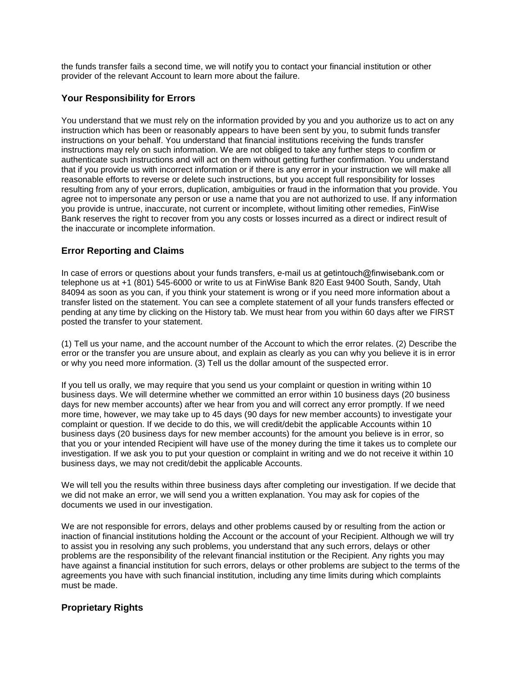the funds transfer fails a second time, we will notify you to contact your financial institution or other provider of the relevant Account to learn more about the failure.

## **Your Responsibility for Errors**

You understand that we must rely on the information provided by you and you authorize us to act on any instruction which has been or reasonably appears to have been sent by you, to submit funds transfer instructions on your behalf. You understand that financial institutions receiving the funds transfer instructions may rely on such information. We are not obliged to take any further steps to confirm or authenticate such instructions and will act on them without getting further confirmation. You understand that if you provide us with incorrect information or if there is any error in your instruction we will make all reasonable efforts to reverse or delete such instructions, but you accept full responsibility for losses resulting from any of your errors, duplication, ambiguities or fraud in the information that you provide. You agree not to impersonate any person or use a name that you are not authorized to use. If any information you provide is untrue, inaccurate, not current or incomplete, without limiting other remedies, FinWise Bank reserves the right to recover from you any costs or losses incurred as a direct or indirect result of the inaccurate or incomplete information.

## **Error Reporting and Claims**

In case of errors or questions about your funds transfers, e-mail us at getintouch@finwisebank.com or telephone us at +1 (801) 545-6000 or write to us at FinWise Bank 820 East 9400 South, Sandy, Utah 84094 as soon as you can, if you think your statement is wrong or if you need more information about a transfer listed on the statement. You can see a complete statement of all your funds transfers effected or pending at any time by clicking on the History tab. We must hear from you within 60 days after we FIRST posted the transfer to your statement.

(1) Tell us your name, and the account number of the Account to which the error relates. (2) Describe the error or the transfer you are unsure about, and explain as clearly as you can why you believe it is in error or why you need more information. (3) Tell us the dollar amount of the suspected error.

If you tell us orally, we may require that you send us your complaint or question in writing within 10 business days. We will determine whether we committed an error within 10 business days (20 business days for new member accounts) after we hear from you and will correct any error promptly. If we need more time, however, we may take up to 45 days (90 days for new member accounts) to investigate your complaint or question. If we decide to do this, we will credit/debit the applicable Accounts within 10 business days (20 business days for new member accounts) for the amount you believe is in error, so that you or your intended Recipient will have use of the money during the time it takes us to complete our investigation. If we ask you to put your question or complaint in writing and we do not receive it within 10 business days, we may not credit/debit the applicable Accounts.

We will tell you the results within three business days after completing our investigation. If we decide that we did not make an error, we will send you a written explanation. You may ask for copies of the documents we used in our investigation.

We are not responsible for errors, delays and other problems caused by or resulting from the action or inaction of financial institutions holding the Account or the account of your Recipient. Although we will try to assist you in resolving any such problems, you understand that any such errors, delays or other problems are the responsibility of the relevant financial institution or the Recipient. Any rights you may have against a financial institution for such errors, delays or other problems are subject to the terms of the agreements you have with such financial institution, including any time limits during which complaints must be made.

# **Proprietary Rights**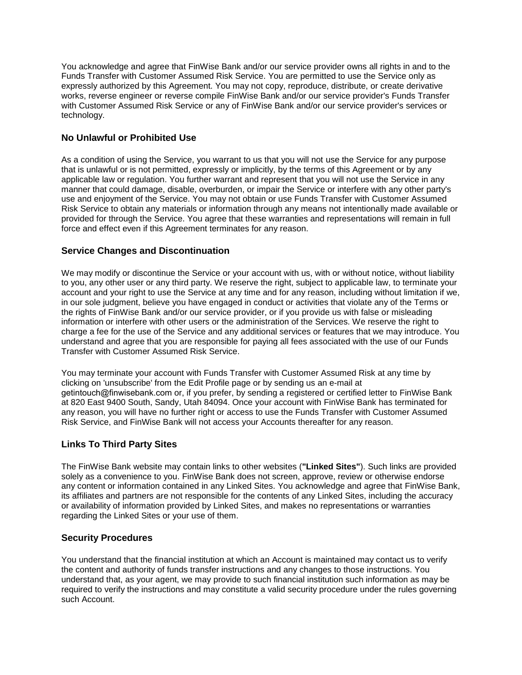You acknowledge and agree that FinWise Bank and/or our service provider owns all rights in and to the Funds Transfer with Customer Assumed Risk Service. You are permitted to use the Service only as expressly authorized by this Agreement. You may not copy, reproduce, distribute, or create derivative works, reverse engineer or reverse compile FinWise Bank and/or our service provider's Funds Transfer with Customer Assumed Risk Service or any of FinWise Bank and/or our service provider's services or technology.

## **No Unlawful or Prohibited Use**

As a condition of using the Service, you warrant to us that you will not use the Service for any purpose that is unlawful or is not permitted, expressly or implicitly, by the terms of this Agreement or by any applicable law or regulation. You further warrant and represent that you will not use the Service in any manner that could damage, disable, overburden, or impair the Service or interfere with any other party's use and enjoyment of the Service. You may not obtain or use Funds Transfer with Customer Assumed Risk Service to obtain any materials or information through any means not intentionally made available or provided for through the Service. You agree that these warranties and representations will remain in full force and effect even if this Agreement terminates for any reason.

## **Service Changes and Discontinuation**

We may modify or discontinue the Service or your account with us, with or without notice, without liability to you, any other user or any third party. We reserve the right, subject to applicable law, to terminate your account and your right to use the Service at any time and for any reason, including without limitation if we, in our sole judgment, believe you have engaged in conduct or activities that violate any of the Terms or the rights of FinWise Bank and/or our service provider, or if you provide us with false or misleading information or interfere with other users or the administration of the Services. We reserve the right to charge a fee for the use of the Service and any additional services or features that we may introduce. You understand and agree that you are responsible for paying all fees associated with the use of our Funds Transfer with Customer Assumed Risk Service.

You may terminate your account with Funds Transfer with Customer Assumed Risk at any time by clicking on 'unsubscribe' from the Edit Profile page or by sending us an e-mail at getintouch@finwisebank.com or, if you prefer, by sending a registered or certified letter to FinWise Bank at 820 East 9400 South, Sandy, Utah 84094. Once your account with FinWise Bank has terminated for any reason, you will have no further right or access to use the Funds Transfer with Customer Assumed Risk Service, and FinWise Bank will not access your Accounts thereafter for any reason.

#### **Links To Third Party Sites**

The FinWise Bank website may contain links to other websites (**"Linked Sites"**). Such links are provided solely as a convenience to you. FinWise Bank does not screen, approve, review or otherwise endorse any content or information contained in any Linked Sites. You acknowledge and agree that FinWise Bank, its affiliates and partners are not responsible for the contents of any Linked Sites, including the accuracy or availability of information provided by Linked Sites, and makes no representations or warranties regarding the Linked Sites or your use of them.

#### **Security Procedures**

You understand that the financial institution at which an Account is maintained may contact us to verify the content and authority of funds transfer instructions and any changes to those instructions. You understand that, as your agent, we may provide to such financial institution such information as may be required to verify the instructions and may constitute a valid security procedure under the rules governing such Account.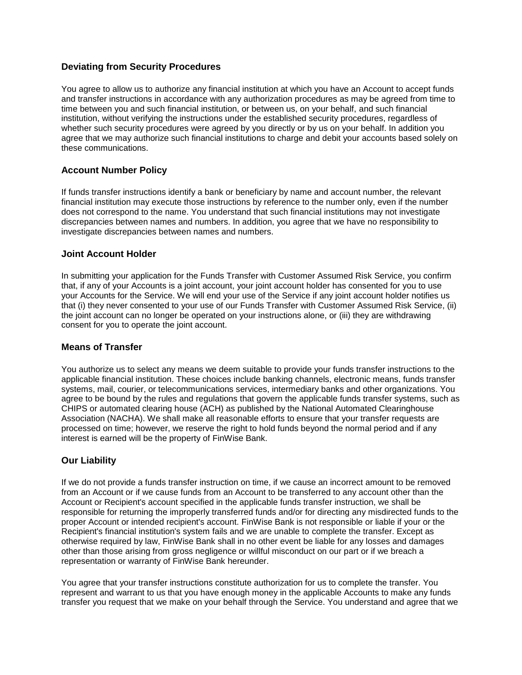## **Deviating from Security Procedures**

You agree to allow us to authorize any financial institution at which you have an Account to accept funds and transfer instructions in accordance with any authorization procedures as may be agreed from time to time between you and such financial institution, or between us, on your behalf, and such financial institution, without verifying the instructions under the established security procedures, regardless of whether such security procedures were agreed by you directly or by us on your behalf. In addition you agree that we may authorize such financial institutions to charge and debit your accounts based solely on these communications.

#### **Account Number Policy**

If funds transfer instructions identify a bank or beneficiary by name and account number, the relevant financial institution may execute those instructions by reference to the number only, even if the number does not correspond to the name. You understand that such financial institutions may not investigate discrepancies between names and numbers. In addition, you agree that we have no responsibility to investigate discrepancies between names and numbers.

#### **Joint Account Holder**

In submitting your application for the Funds Transfer with Customer Assumed Risk Service, you confirm that, if any of your Accounts is a joint account, your joint account holder has consented for you to use your Accounts for the Service. We will end your use of the Service if any joint account holder notifies us that (i) they never consented to your use of our Funds Transfer with Customer Assumed Risk Service, (ii) the joint account can no longer be operated on your instructions alone, or (iii) they are withdrawing consent for you to operate the joint account.

#### **Means of Transfer**

You authorize us to select any means we deem suitable to provide your funds transfer instructions to the applicable financial institution. These choices include banking channels, electronic means, funds transfer systems, mail, courier, or telecommunications services, intermediary banks and other organizations. You agree to be bound by the rules and regulations that govern the applicable funds transfer systems, such as CHIPS or automated clearing house (ACH) as published by the National Automated Clearinghouse Association (NACHA). We shall make all reasonable efforts to ensure that your transfer requests are processed on time; however, we reserve the right to hold funds beyond the normal period and if any interest is earned will be the property of FinWise Bank.

# **Our Liability**

If we do not provide a funds transfer instruction on time, if we cause an incorrect amount to be removed from an Account or if we cause funds from an Account to be transferred to any account other than the Account or Recipient's account specified in the applicable funds transfer instruction, we shall be responsible for returning the improperly transferred funds and/or for directing any misdirected funds to the proper Account or intended recipient's account. FinWise Bank is not responsible or liable if your or the Recipient's financial institution's system fails and we are unable to complete the transfer. Except as otherwise required by law, FinWise Bank shall in no other event be liable for any losses and damages other than those arising from gross negligence or willful misconduct on our part or if we breach a representation or warranty of FinWise Bank hereunder.

You agree that your transfer instructions constitute authorization for us to complete the transfer. You represent and warrant to us that you have enough money in the applicable Accounts to make any funds transfer you request that we make on your behalf through the Service. You understand and agree that we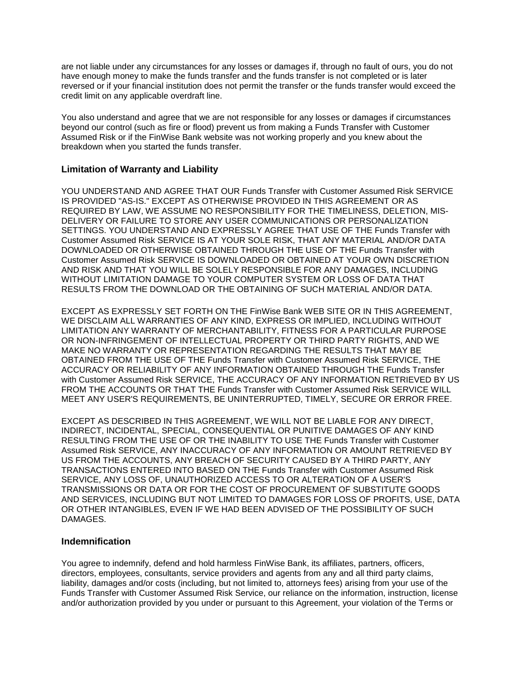are not liable under any circumstances for any losses or damages if, through no fault of ours, you do not have enough money to make the funds transfer and the funds transfer is not completed or is later reversed or if your financial institution does not permit the transfer or the funds transfer would exceed the credit limit on any applicable overdraft line.

You also understand and agree that we are not responsible for any losses or damages if circumstances beyond our control (such as fire or flood) prevent us from making a Funds Transfer with Customer Assumed Risk or if the FinWise Bank website was not working properly and you knew about the breakdown when you started the funds transfer.

## **Limitation of Warranty and Liability**

YOU UNDERSTAND AND AGREE THAT OUR Funds Transfer with Customer Assumed Risk SERVICE IS PROVIDED "AS-IS." EXCEPT AS OTHERWISE PROVIDED IN THIS AGREEMENT OR AS REQUIRED BY LAW, WE ASSUME NO RESPONSIBILITY FOR THE TIMELINESS, DELETION, MIS-DELIVERY OR FAILURE TO STORE ANY USER COMMUNICATIONS OR PERSONALIZATION SETTINGS. YOU UNDERSTAND AND EXPRESSLY AGREE THAT USE OF THE Funds Transfer with Customer Assumed Risk SERVICE IS AT YOUR SOLE RISK, THAT ANY MATERIAL AND/OR DATA DOWNLOADED OR OTHERWISE OBTAINED THROUGH THE USE OF THE Funds Transfer with Customer Assumed Risk SERVICE IS DOWNLOADED OR OBTAINED AT YOUR OWN DISCRETION AND RISK AND THAT YOU WILL BE SOLELY RESPONSIBLE FOR ANY DAMAGES, INCLUDING WITHOUT LIMITATION DAMAGE TO YOUR COMPUTER SYSTEM OR LOSS OF DATA THAT RESULTS FROM THE DOWNLOAD OR THE OBTAINING OF SUCH MATERIAL AND/OR DATA.

EXCEPT AS EXPRESSLY SET FORTH ON THE FinWise Bank WEB SITE OR IN THIS AGREEMENT, WE DISCLAIM ALL WARRANTIES OF ANY KIND, EXPRESS OR IMPLIED, INCLUDING WITHOUT LIMITATION ANY WARRANTY OF MERCHANTABILITY, FITNESS FOR A PARTICULAR PURPOSE OR NON-INFRINGEMENT OF INTELLECTUAL PROPERTY OR THIRD PARTY RIGHTS, AND WE MAKE NO WARRANTY OR REPRESENTATION REGARDING THE RESULTS THAT MAY BE OBTAINED FROM THE USE OF THE Funds Transfer with Customer Assumed Risk SERVICE, THE ACCURACY OR RELIABILITY OF ANY INFORMATION OBTAINED THROUGH THE Funds Transfer with Customer Assumed Risk SERVICE, THE ACCURACY OF ANY INFORMATION RETRIEVED BY US FROM THE ACCOUNTS OR THAT THE Funds Transfer with Customer Assumed Risk SERVICE WILL MEET ANY USER'S REQUIREMENTS, BE UNINTERRUPTED, TIMELY, SECURE OR ERROR FREE.

EXCEPT AS DESCRIBED IN THIS AGREEMENT, WE WILL NOT BE LIABLE FOR ANY DIRECT, INDIRECT, INCIDENTAL, SPECIAL, CONSEQUENTIAL OR PUNITIVE DAMAGES OF ANY KIND RESULTING FROM THE USE OF OR THE INABILITY TO USE THE Funds Transfer with Customer Assumed Risk SERVICE, ANY INACCURACY OF ANY INFORMATION OR AMOUNT RETRIEVED BY US FROM THE ACCOUNTS, ANY BREACH OF SECURITY CAUSED BY A THIRD PARTY, ANY TRANSACTIONS ENTERED INTO BASED ON THE Funds Transfer with Customer Assumed Risk SERVICE, ANY LOSS OF, UNAUTHORIZED ACCESS TO OR ALTERATION OF A USER'S TRANSMISSIONS OR DATA OR FOR THE COST OF PROCUREMENT OF SUBSTITUTE GOODS AND SERVICES, INCLUDING BUT NOT LIMITED TO DAMAGES FOR LOSS OF PROFITS, USE, DATA OR OTHER INTANGIBLES, EVEN IF WE HAD BEEN ADVISED OF THE POSSIBILITY OF SUCH DAMAGES.

#### **Indemnification**

You agree to indemnify, defend and hold harmless FinWise Bank, its affiliates, partners, officers, directors, employees, consultants, service providers and agents from any and all third party claims, liability, damages and/or costs (including, but not limited to, attorneys fees) arising from your use of the Funds Transfer with Customer Assumed Risk Service, our reliance on the information, instruction, license and/or authorization provided by you under or pursuant to this Agreement, your violation of the Terms or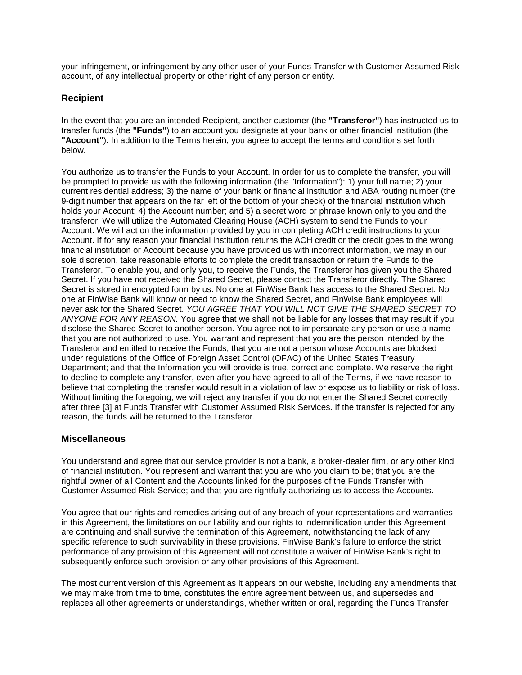your infringement, or infringement by any other user of your Funds Transfer with Customer Assumed Risk account, of any intellectual property or other right of any person or entity.

# **Recipient**

In the event that you are an intended Recipient, another customer (the **"Transferor"**) has instructed us to transfer funds (the **"Funds"**) to an account you designate at your bank or other financial institution (the **"Account"**). In addition to the Terms herein, you agree to accept the terms and conditions set forth below.

You authorize us to transfer the Funds to your Account. In order for us to complete the transfer, you will be prompted to provide us with the following information (the "Information"): 1) your full name; 2) your current residential address; 3) the name of your bank or financial institution and ABA routing number (the 9-digit number that appears on the far left of the bottom of your check) of the financial institution which holds your Account; 4) the Account number; and 5) a secret word or phrase known only to you and the transferor. We will utilize the Automated Clearing House (ACH) system to send the Funds to your Account. We will act on the information provided by you in completing ACH credit instructions to your Account. If for any reason your financial institution returns the ACH credit or the credit goes to the wrong financial institution or Account because you have provided us with incorrect information, we may in our sole discretion, take reasonable efforts to complete the credit transaction or return the Funds to the Transferor. To enable you, and only you, to receive the Funds, the Transferor has given you the Shared Secret. If you have not received the Shared Secret, please contact the Transferor directly. The Shared Secret is stored in encrypted form by us. No one at FinWise Bank has access to the Shared Secret. No one at FinWise Bank will know or need to know the Shared Secret, and FinWise Bank employees will never ask for the Shared Secret. *YOU AGREE THAT YOU WILL NOT GIVE THE SHARED SECRET TO ANYONE FOR ANY REASON.* You agree that we shall not be liable for any losses that may result if you disclose the Shared Secret to another person. You agree not to impersonate any person or use a name that you are not authorized to use. You warrant and represent that you are the person intended by the Transferor and entitled to receive the Funds; that you are not a person whose Accounts are blocked under regulations of the Office of Foreign Asset Control (OFAC) of the United States Treasury Department; and that the Information you will provide is true, correct and complete. We reserve the right to decline to complete any transfer, even after you have agreed to all of the Terms, if we have reason to believe that completing the transfer would result in a violation of law or expose us to liability or risk of loss. Without limiting the foregoing, we will reject any transfer if you do not enter the Shared Secret correctly after three [3] at Funds Transfer with Customer Assumed Risk Services. If the transfer is rejected for any reason, the funds will be returned to the Transferor.

# **Miscellaneous**

You understand and agree that our service provider is not a bank, a broker-dealer firm, or any other kind of financial institution. You represent and warrant that you are who you claim to be; that you are the rightful owner of all Content and the Accounts linked for the purposes of the Funds Transfer with Customer Assumed Risk Service; and that you are rightfully authorizing us to access the Accounts.

You agree that our rights and remedies arising out of any breach of your representations and warranties in this Agreement, the limitations on our liability and our rights to indemnification under this Agreement are continuing and shall survive the termination of this Agreement, notwithstanding the lack of any specific reference to such survivability in these provisions. FinWise Bank's failure to enforce the strict performance of any provision of this Agreement will not constitute a waiver of FinWise Bank's right to subsequently enforce such provision or any other provisions of this Agreement.

The most current version of this Agreement as it appears on our website, including any amendments that we may make from time to time, constitutes the entire agreement between us, and supersedes and replaces all other agreements or understandings, whether written or oral, regarding the Funds Transfer